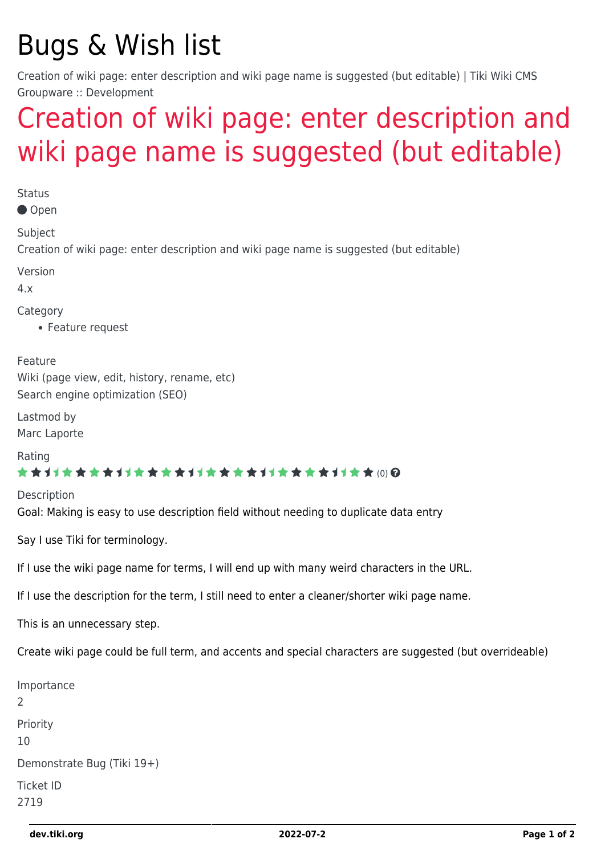## Bugs & Wish list

Creation of wiki page: enter description and wiki page name is suggested (but editable) | Tiki Wiki CMS Groupware :: Development

## [Creation of wiki page: enter description and](https://dev.tiki.org/item2719-Creation-of-wiki-page-enter-description-and-wiki-page-name-is-suggested-but-editable) [wiki page name is suggested \(but editable\)](https://dev.tiki.org/item2719-Creation-of-wiki-page-enter-description-and-wiki-page-name-is-suggested-but-editable)

**Status** ● Open Subject Creation of wiki page: enter description and wiki page name is suggested (but editable) Version 4.x Category Feature request Feature Wiki (page view, edit, history, rename, etc) Search engine optimization (SEO) Lastmod by Marc Laporte Rating \*\*\*\*\*\*\*\*\*\*\*\*\*\*\*\*\*\*\*\*\*\*\*\*\*\*\*\*\*\* Description Goal: Making is easy to use description field without needing to duplicate data entry

Say I use Tiki for terminology.

If I use the wiki page name for terms, I will end up with many weird characters in the URL.

If I use the description for the term, I still need to enter a cleaner/shorter wiki page name.

This is an unnecessary step.

Create wiki page could be full term, and accents and special characters are suggested (but overrideable)

```
Importance
\overline{\phantom{0}}Priority
10
Demonstrate Bug (Tiki 19+)
Ticket ID
2719
```